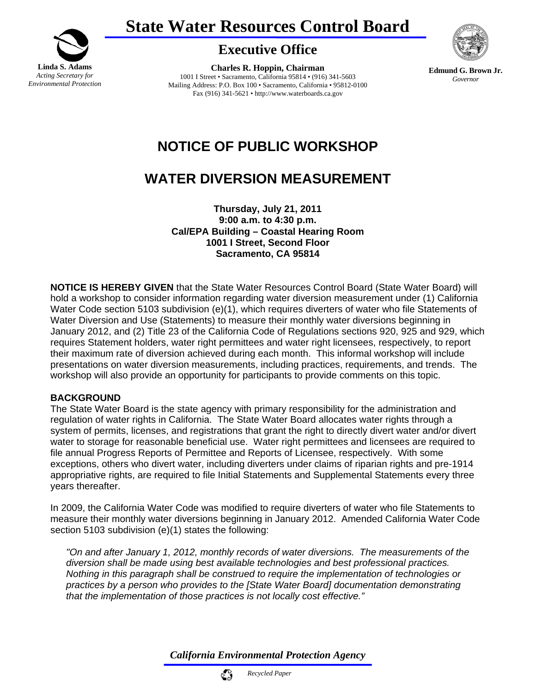



## **Executive Office**

**Charles R. Hoppin, Chairman**  1001 I Street • Sacramento, California 95814 • (916) 341-5603 Mailing Address: P.O. Box 100 • Sacramento, California • 95812-0100 Fax (916) 341-5621 • http://www.waterboards.ca.gov



**Edmund G. Brown Jr.** *Governor* 

# **NOTICE OF PUBLIC WORKSHOP**

# **WATER DIVERSION MEASUREMENT**

**Thursday, July 21, 2011 9:00 a.m. to 4:30 p.m. Cal/EPA Building – Coastal Hearing Room 1001 I Street, Second Floor Sacramento, CA 95814** 

**NOTICE IS HEREBY GIVEN** that the State Water Resources Control Board (State Water Board) will hold a workshop to consider information regarding water diversion measurement under (1) California Water Code section 5103 subdivision (e)(1), which requires diverters of water who file Statements of Water Diversion and Use (Statements) to measure their monthly water diversions beginning in January 2012, and (2) Title 23 of the California Code of Regulations sections 920, 925 and 929, which requires Statement holders, water right permittees and water right licensees, respectively, to report their maximum rate of diversion achieved during each month. This informal workshop will include presentations on water diversion measurements, including practices, requirements, and trends. The workshop will also provide an opportunity for participants to provide comments on this topic.

#### **BACKGROUND**

The State Water Board is the state agency with primary responsibility for the administration and regulation of water rights in California. The State Water Board allocates water rights through a system of permits, licenses, and registrations that grant the right to directly divert water and/or divert water to storage for reasonable beneficial use. Water right permittees and licensees are required to file annual Progress Reports of Permittee and Reports of Licensee, respectively. With some exceptions, others who divert water, including diverters under claims of riparian rights and pre-1914 appropriative rights, are required to file Initial Statements and Supplemental Statements every three years thereafter.

In 2009, the California Water Code was modified to require diverters of water who file Statements to measure their monthly water diversions beginning in January 2012. Amended California Water Code section 5103 subdivision (e)(1) states the following:

*"On and after January 1, 2012, monthly records of water diversions. The measurements of the diversion shall be made using best available technologies and best professional practices. Nothing in this paragraph shall be construed to require the implementation of technologies or practices by a person who provides to the [State Water Board] documentation demonstrating that the implementation of those practices is not locally cost effective."* 

*California Environmental Protection Agency*

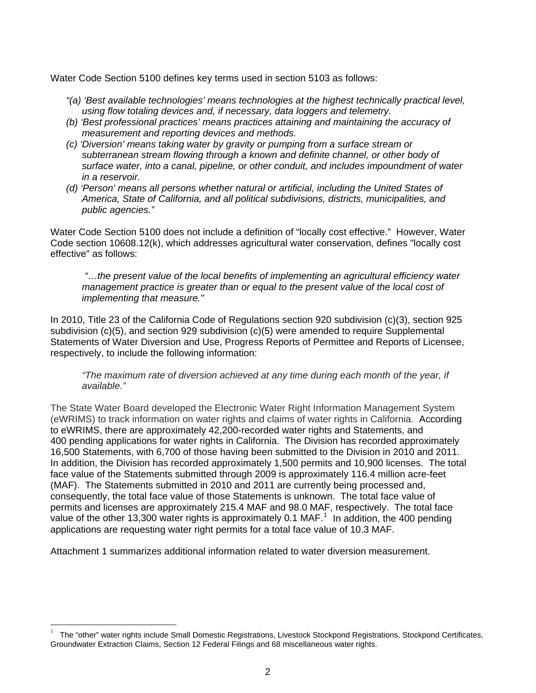Water Code Section 5100 defines key terms used in section 5103 as follows:

- *"(a) 'Best available technologies' means technologies at the highest technically practical level, using flow totaling devices and, if necessary, data loggers and telemetry.*
- *(b) 'Best professional practices' means practices attaining and maintaining the accuracy of measurement and reporting devices and methods.*
- *(c) 'Diversion' means taking water by gravity or pumping from a surface stream or subterranean stream flowing through a known and definite channel, or other body of surface water, into a canal, pipeline, or other conduit, and includes impoundment of water in a reservoir.*
- *(d) 'Person' means all persons whether natural or artificial, including the United States of America, State of California, and all political subdivisions, districts, municipalities, and public agencies."*

Water Code Section 5100 does not include a definition of "locally cost effective." However, Water Code section 10608.12(k), which addresses agricultural water conservation, defines "locally cost effective" as follows:

 *"…the present value of the local benefits of implementing an agricultural efficiency water management practice is greater than or equal to the present value of the local cost of implementing that measure."* 

In 2010, Title 23 of the California Code of Regulations section 920 subdivision (c)(3), section 925 subdivision (c)(5), and section 929 subdivision (c)(5) were amended to require Supplemental Statements of Water Diversion and Use, Progress Reports of Permittee and Reports of Licensee, respectively, to include the following information:

*"The maximum rate of diversion achieved at any time during each month of the year, if available."* 

The State Water Board developed the Electronic Water Right Information Management System (eWRIMS) to track information on water rights and claims of water rights in California. According to eWRIMS, there are approximately 42,200-recorded water rights and Statements, and 400 pending applications for water rights in California. The Division has recorded approximately 16,500 Statements, with 6,700 of those having been submitted to the Division in 2010 and 2011. In addition, the Division has recorded approximately 1,500 permits and 10,900 licenses. The total face value of the Statements submitted through 2009 is approximately 116.4 million acre-feet (MAF). The Statements submitted in 2010 and 2011 are currently being processed and, consequently, the total face value of those Statements is unknown. The total face value of permits and licenses are approximately 215.4 MAF and 98.0 MAF, respectively. The total face value of the other [1](#page-1-0)3,300 water rights is approximately 0.1 MAF.<sup>1</sup> In addition, the 400 pending applications are requesting water right permits for a total face value of 10.3 MAF.

Attachment 1 summarizes additional information related to water diversion measurement.

<span id="page-1-0"></span><sup>1</sup> The "other" water rights include Small Domestic Registrations, Livestock Stockpond Registrations, Stockpond Certificates, Groundwater Extraction Claims, Section 12 Federal Filings and 68 miscellaneous water rights.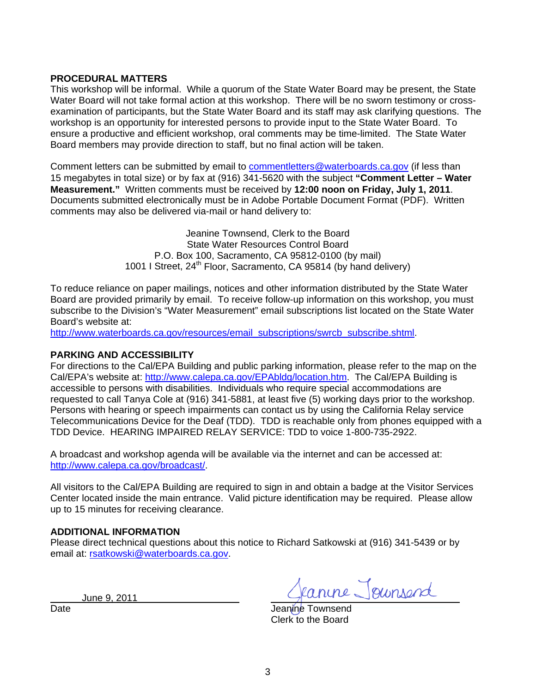#### **PROCEDURAL MATTERS**

This workshop will be informal. While a quorum of the State Water Board may be present, the State Water Board will not take formal action at this workshop. There will be no sworn testimony or crossexamination of participants, but the State Water Board and its staff may ask clarifying questions. The workshop is an opportunity for interested persons to provide input to the State Water Board. To ensure a productive and efficient workshop, oral comments may be time-limited. The State Water Board members may provide direction to staff, but no final action will be taken.

Comment letters can be submitted by email to [commentletters@waterboards.ca.gov](mailto:commentletters@waterboards.ca.gov) (if less than 15 megabytes in total size) or by fax at (916) 341-5620 with the subject **"Comment Letter – Water Measurement."** Written comments must be received by **12:00 noon on Friday, July 1, 2011**. Documents submitted electronically must be in Adobe Portable Document Format (PDF). Written comments may also be delivered via-mail or hand delivery to:

> Jeanine Townsend, Clerk to the Board State Water Resources Control Board P.O. Box 100, Sacramento, CA 95812-0100 (by mail) 1001 I Street,  $24^{th}$  Floor, Sacramento, CA 95814 (by hand delivery)

To reduce reliance on paper mailings, notices and other information distributed by the State Water Board are provided primarily by email. To receive follow-up information on this workshop, you must subscribe to the Division's "Water Measurement" email subscriptions list located on the State Water Board's website at:

[http://www.waterboards.ca.gov/resources/email\\_subscriptions/swrcb\\_subscribe.shtml.](http://www.waterboards.ca.gov/resources/email_subscriptions/swrcb_subscribe.shtml)

#### **PARKING AND ACCESSIBILITY**

For directions to the Cal/EPA Building and public parking information, please refer to the map on the Cal/EPA's website at: http://www.calepa.ca.gov/EPAbldg/location.htm. The Cal/EPA Building is accessible to persons with disabilities. Individuals who require special accommodations are requested to call Tanya Cole at (916) 341-5881, at least five (5) working days prior to the workshop. Persons with hearing or speech impairments can contact us by using the California Relay service Telecommunications Device for the Deaf (TDD). TDD is reachable only from phones equipped with a TDD Device. HEARING IMPAIRED RELAY SERVICE: TDD to voice 1-800-735-2922.

A broadcast and workshop agenda will be available via the internet and can be accessed at: <http://www.calepa.ca.gov/broadcast/>.

All visitors to the Cal/EPA Building are required to sign in and obtain a badge at the Visitor Services Center located inside the main entrance. Valid picture identification may be required. Please allow up to 15 minutes for receiving clearance.

#### **ADDITIONAL INFORMATION**

Please direct technical questions about this notice to Richard Satkowski at (916) 341-5439 or by email at: [rsatkowski@waterboards.ca.gov.](mailto:rsatkowski@waterboards.ca.gov)

June 9, 2011

Jeanne Jeunsend

Date **Date** Jeanine Townsend Clerk to the Board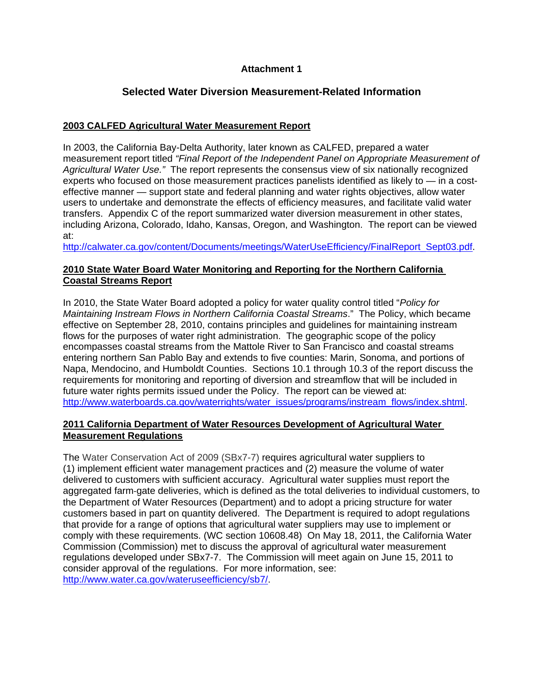### **Attachment 1**

### **Selected Water Diversion Measurement-Related Information**

#### **2003 CALFED Agricultural Water Measurement Report**

In 2003, the California Bay-Delta Authority, later known as CALFED, prepared a water measurement report titled *"Final Report of the Independent Panel on Appropriate Measurement of Agricultural Water Use."* The report represents the consensus view of six nationally recognized experts who focused on those measurement practices panelists identified as likely to — in a costeffective manner — support state and federal planning and water rights objectives, allow water users to undertake and demonstrate the effects of efficiency measures, and facilitate valid water transfers. Appendix C of the report summarized water diversion measurement in other states, including Arizona, Colorado, Idaho, Kansas, Oregon, and Washington. The report can be viewed at:

[http://calwater.ca.gov/content/Documents/meetings/WaterUseEfficiency/FinalReport\\_Sept03.pdf.](http://calwater.ca.gov/content/Documents/meetings/WaterUseEfficiency/FinalReport_Sept03.pdf)

#### **2010 State Water Board Water Monitoring and Reporting for the Northern California Coastal Streams Report**

In 2010, the State Water Board adopted a policy for water quality control titled "*Policy for Maintaining Instream Flows in Northern California Coastal Streams*." The Policy, which became effective on September 28, 2010, contains principles and guidelines for maintaining instream flows for the purposes of water right administration. The geographic scope of the policy encompasses coastal streams from the Mattole River to San Francisco and coastal streams entering northern San Pablo Bay and extends to five counties: Marin, Sonoma, and portions of Napa, Mendocino, and Humboldt Counties. Sections 10.1 through 10.3 of the report discuss the requirements for monitoring and reporting of diversion and streamflow that will be included in future water rights permits issued under the Policy. The report can be viewed at: [http://www.waterboards.ca.gov/waterrights/water\\_issues/programs/instream\\_flows/index.shtml](http://www.waterboards.ca.gov/waterrights/water_issues/programs/instream_flows/index.shtml)

#### **2011 California Department of Water Resources Development of Agricultural Water Measurement Regulations**

The Water Conservation Act of 2009 (SBx7-7) requires agricultural water suppliers to (1) implement efficient water management practices and (2) measure the volume of water delivered to customers with sufficient accuracy. Agricultural water supplies must report the aggregated farm‐gate deliveries, which is defined as the total deliveries to individual customers, to the Department of Water Resources (Department) and to adopt a pricing structure for water customers based in part on quantity delivered. The Department is required to adopt regulations that provide for a range of options that agricultural water suppliers may use to implement or comply with these requirements. (WC section 10608.48) On May 18, 2011, the California Water Commission (Commission) met to discuss the approval of agricultural water measurement regulations developed under SBx7-7. The Commission will meet again on June 15, 2011 to consider approval of the regulations. For more information, see: <http://www.water.ca.gov/wateruseefficiency/sb7/>.